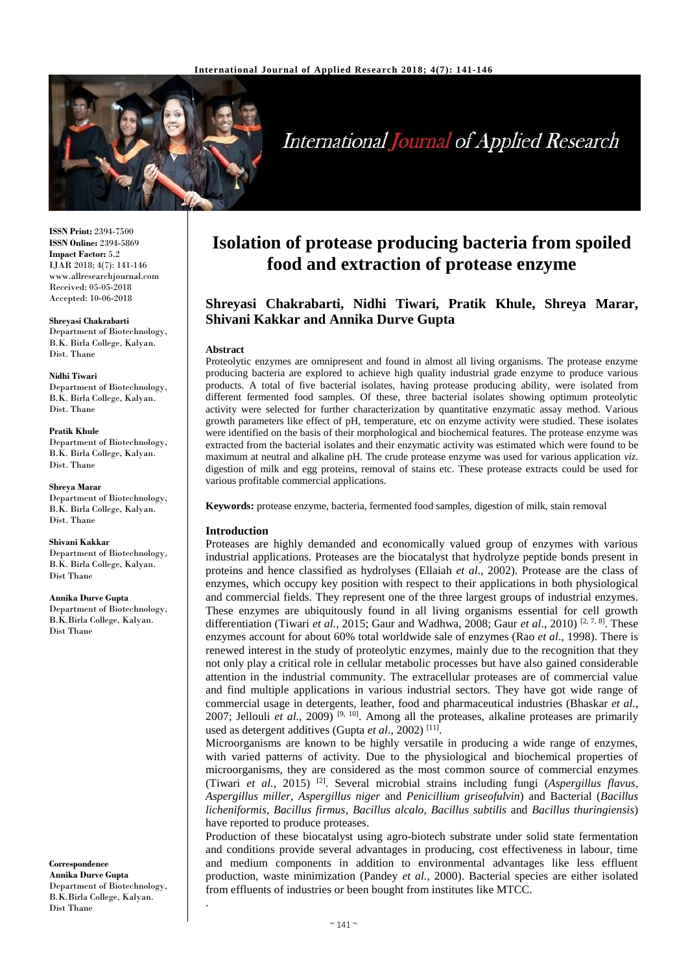

# **International Journal of Applied Research**

**ISSN Print:** 2394-7500 **ISSN Online:** 2394-5869 **Impact Factor:** 5.2 IJAR 2018; 4(7): 141-146 www.allresearchjournal.com Received: 05-05-2018 Accepted: 10-06-2018

#### **Shreyasi Chakrabarti**

Department of Biotechnology, B.K. Birla College, Kalyan. Dist. Thane

#### **Nidhi Tiwari**

Department of Biotechnology, B.K. Birla College, Kalyan. Dist. Thane

**Pratik Khule** Department of Biotechnology, B.K. Birla College, Kalyan. Dist. Thane

**Shreya Marar** Department of Biotechnology,

B.K. Birla College, Kalyan. Dist. Thane

**Shivani Kakkar** Department of Biotechnology, B.K. Birla College, Kalyan. Dist Thane

**Annika Durve Gupta** Department of Biotechnology, B.K.Birla College, Kalyan. Dist Thane

**Correspondence Annika Durve Gupta** Department of Biotechnology, B.K.Birla College, Kalyan. Dist Thane

.

## **Isolation of protease producing bacteria from spoiled food and extraction of protease enzyme**

## **Shreyasi Chakrabarti, Nidhi Tiwari, Pratik Khule, Shreya Marar, Shivani Kakkar and Annika Durve Gupta**

#### **Abstract**

Proteolytic enzymes are omnipresent and found in almost all living organisms. The protease enzyme producing bacteria are explored to achieve high quality industrial grade enzyme to produce various products. A total of five bacterial isolates, having protease producing ability, were isolated from different fermented food samples. Of these, three bacterial isolates showing optimum proteolytic activity were selected for further characterization by quantitative enzymatic assay method. Various growth parameters like effect of pH, temperature, etc on enzyme activity were studied. These isolates were identified on the basis of their morphological and biochemical features. The protease enzyme was extracted from the bacterial isolates and their enzymatic activity was estimated which were found to be maximum at neutral and alkaline pH. The crude protease enzyme was used for various application *viz*. digestion of milk and egg proteins, removal of stains etc. These protease extracts could be used for various profitable commercial applications.

**Keywords:** protease enzyme, bacteria, fermented food samples, digestion of milk, stain removal

#### **Introduction**

Proteases are highly demanded and economically valued group of enzymes with various industrial applications. Proteases are the biocatalyst that hydrolyze peptide bonds present in proteins and hence classified as hydrolyses (Ellaiah *et al*., 2002). Protease are the class of enzymes, which occupy key position with respect to their applications in both physiological and commercial fields. They represent one of the three largest groups of industrial enzymes. These enzymes are ubiquitously found in all living organisms essential for cell growth differentiation (Tiwari *et al.,* 2015; Gaur and Wadhwa, 2008; Gaur *et al*., 2010) [2, 7, 8]. These enzymes account for about 60% total worldwide sale of enzymes (Rao *et al*., 1998). There is renewed interest in the study of proteolytic enzymes, mainly due to the recognition that they not only play a critical role in cellular metabolic processes but have also gained considerable attention in the industrial community. The extracellular proteases are of commercial value and find multiple applications in various industrial sectors. They have got wide range of commercial usage in detergents, leather, food and pharmaceutical industries (Bhaskar *et al*., 2007; Jellouli *et al.,* 2009) [9, 10]. Among all the proteases, alkaline proteases are primarily used as detergent additives (Gupta et al., 2002)<sup>[11]</sup>.

Microorganisms are known to be highly versatile in producing a wide range of enzymes, with varied patterns of activity. Due to the physiological and biochemical properties of microorganisms, they are considered as the most common source of commercial enzymes (Tiwari *et al.,* 2015) [2]. Several microbial strains including fungi (*Aspergillus flavus*, *Aspergillus miller*, *Aspergillus niger* and *Penicillium griseofulvin*) and Bacterial (*Bacillus licheniformis*, *Bacillus firmus*, *Bacillus alcalo, Bacillus subtilis* and *Bacillus thuringiensis*) have reported to produce proteases.

Production of these biocatalyst using agro-biotech substrate under solid state fermentation and conditions provide several advantages in producing, cost effectiveness in labour, time and medium components in addition to environmental advantages like less effluent production, waste minimization (Pandey *et al.,* 2000). Bacterial species are either isolated from effluents of industries or been bought from institutes like MTCC.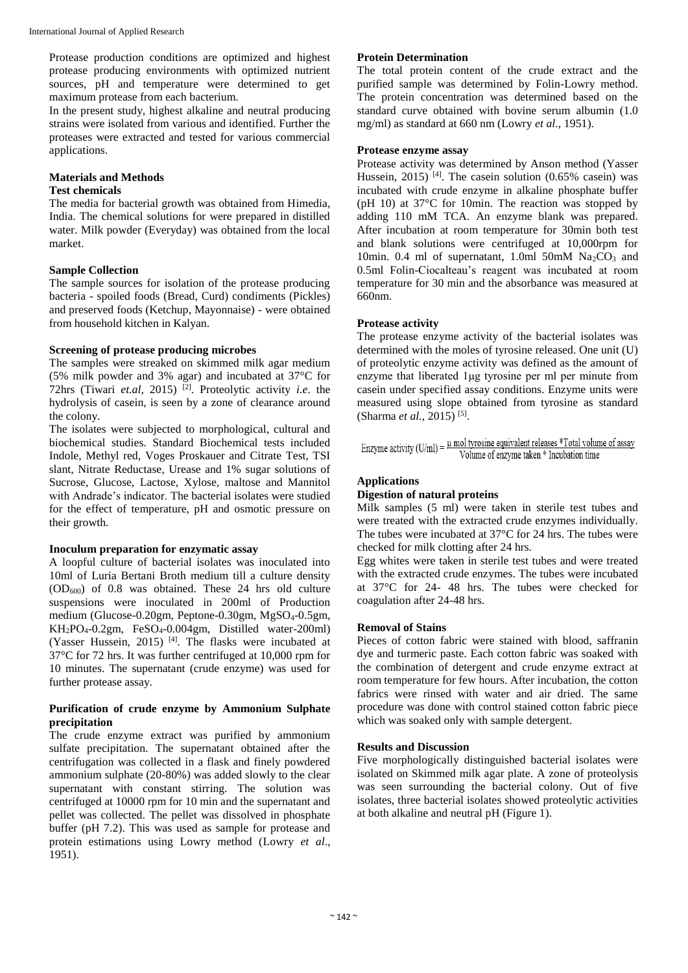Protease production conditions are optimized and highest protease producing environments with optimized nutrient sources, pH and temperature were determined to get maximum protease from each bacterium.

In the present study, highest alkaline and neutral producing strains were isolated from various and identified. Further the proteases were extracted and tested for various commercial applications.

## **Materials and Methods**

## **Test chemicals**

The media for bacterial growth was obtained from Himedia, India. The chemical solutions for were prepared in distilled water. Milk powder (Everyday) was obtained from the local market.

## **Sample Collection**

The sample sources for isolation of the protease producing bacteria - spoiled foods (Bread, Curd) condiments (Pickles) and preserved foods (Ketchup, Mayonnaise) - were obtained from household kitchen in Kalyan.

## **Screening of protease producing microbes**

The samples were streaked on skimmed milk agar medium (5% milk powder and 3% agar) and incubated at 37°C for 72hrs (Tiwari *et.al,* 2015) [2]. Proteolytic activity *i.e*. the hydrolysis of casein, is seen by a zone of clearance around the colony.

The isolates were subjected to morphological, cultural and biochemical studies. Standard Biochemical tests included Indole, Methyl red, Voges Proskauer and Citrate Test, TSI slant, Nitrate Reductase, Urease and 1% sugar solutions of Sucrose, Glucose, Lactose, Xylose, maltose and Mannitol with Andrade's indicator. The bacterial isolates were studied for the effect of temperature, pH and osmotic pressure on their growth.

## **Inoculum preparation for enzymatic assay**

A loopful culture of bacterial isolates was inoculated into 10ml of Luria Bertani Broth medium till a culture density  $(OD<sub>600</sub>)$  of 0.8 was obtained. These 24 hrs old culture suspensions were inoculated in 200ml of Production medium (Glucose-0.20gm, Peptone-0.30gm, MgSO4-0.5gm,  $KH_2PO_4-0.2gm$ , FeSO<sub>4</sub>-0.004gm, Distilled water-200ml) (Yasser Hussein, 2015) [4] . The flasks were incubated at 37°C for 72 hrs. It was further centrifuged at 10,000 rpm for 10 minutes. The supernatant (crude enzyme) was used for further protease assay.

### **Purification of crude enzyme by Ammonium Sulphate precipitation**

The crude enzyme extract was purified by ammonium sulfate precipitation. The supernatant obtained after the centrifugation was collected in a flask and finely powdered ammonium sulphate (20-80%) was added slowly to the clear supernatant with constant stirring. The solution was centrifuged at 10000 rpm for 10 min and the supernatant and pellet was collected. The pellet was dissolved in phosphate buffer (pH 7.2). This was used as sample for protease and protein estimations using Lowry method (Lowry *et al*., 1951).

## **Protein Determination**

The total protein content of the crude extract and the purified sample was determined by Folin-Lowry method. The protein concentration was determined based on the standard curve obtained with bovine serum albumin (1.0 mg/ml) as standard at 660 nm (Lowry *et al*., 1951).

## **Protease enzyme assay**

Protease activity was determined by Anson method (Yasser Hussein, 2015)<sup>[4]</sup>. The casein solution (0.65% casein) was incubated with crude enzyme in alkaline phosphate buffer (pH 10) at 37°C for 10min. The reaction was stopped by adding 110 mM TCA. An enzyme blank was prepared. After incubation at room temperature for 30min both test and blank solutions were centrifuged at 10,000rpm for 10min. 0.4 ml of supernatant, 1.0ml 50mM  $Na<sub>2</sub>CO<sub>3</sub>$  and 0.5ml Folin-Ciocalteau's reagent was incubated at room temperature for 30 min and the absorbance was measured at 660nm.

## **Protease activity**

The protease enzyme activity of the bacterial isolates was determined with the moles of tyrosine released. One unit (U) of proteolytic enzyme activity was defined as the amount of enzyme that liberated 1 µg tyrosine per ml per minute from casein under specified assay conditions. Enzyme units were measured using slope obtained from tyrosine as standard (Sharma *et al.,* 2015) [5] .

|  | Enzyme activity (U/ml) = $\frac{\mu \text{ mol}}{\text{Volume of enzyme taken}}$ * Incubation time https://www. |  |
|--|-----------------------------------------------------------------------------------------------------------------|--|

## **Applications**

#### **Digestion of natural proteins**

Milk samples (5 ml) were taken in sterile test tubes and were treated with the extracted crude enzymes individually. The tubes were incubated at 37°C for 24 hrs. The tubes were checked for milk clotting after 24 hrs.

Egg whites were taken in sterile test tubes and were treated with the extracted crude enzymes. The tubes were incubated at 37°C for 24- 48 hrs. The tubes were checked for coagulation after 24-48 hrs.

## **Removal of Stains**

Pieces of cotton fabric were stained with blood, saffranin dye and turmeric paste. Each cotton fabric was soaked with the combination of detergent and crude enzyme extract at room temperature for few hours. After incubation, the cotton fabrics were rinsed with water and air dried. The same procedure was done with control stained cotton fabric piece which was soaked only with sample detergent.

## **Results and Discussion**

Five morphologically distinguished bacterial isolates were isolated on Skimmed milk agar plate. A zone of proteolysis was seen surrounding the bacterial colony. Out of five isolates, three bacterial isolates showed proteolytic activities at both alkaline and neutral pH (Figure 1).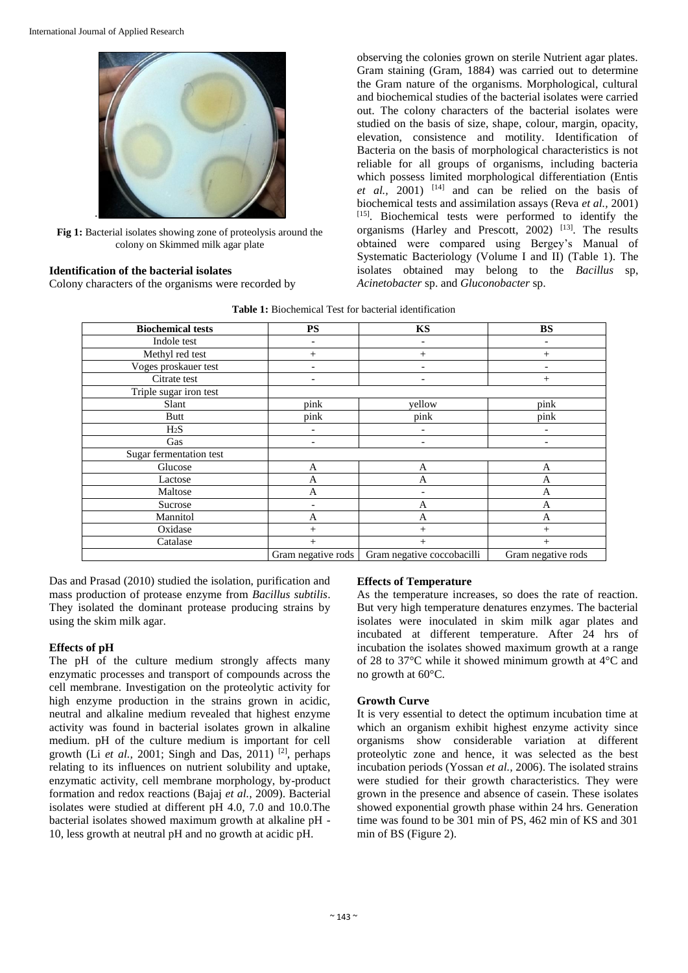

**Fig 1:** Bacterial isolates showing zone of proteolysis around the colony on Skimmed milk agar plate

### **Identification of the bacterial isolates**

Colony characters of the organisms were recorded by

observing the colonies grown on sterile Nutrient agar plates. Gram staining (Gram, 1884) was carried out to determine the Gram nature of the organisms. Morphological, cultural and biochemical studies of the bacterial isolates were carried out. The colony characters of the bacterial isolates were studied on the basis of size, shape, colour, margin, opacity, elevation, consistence and motility. Identification of Bacteria on the basis of morphological characteristics is not reliable for all groups of organisms, including bacteria which possess limited morphological differentiation (Entis  $et \ al.,$  2001) <sup>[14]</sup> and can be relied on the basis of biochemical tests and assimilation assays (Reva *et al.,* 2001) [15]. Biochemical tests were performed to identify the organisms (Harley and Prescott, 2002)  $^{[13]}$ . The results obtained were compared using Bergey's Manual of Systematic Bacteriology (Volume I and II) (Table 1). The isolates obtained may belong to the *Bacillus* sp, *Acinetobacter* sp. and *Gluconobacter* sp.

**Table 1:** Biochemical Test for bacterial identification

| <b>Biochemical tests</b> | <b>PS</b>                | <b>KS</b>                  | <b>BS</b>                |
|--------------------------|--------------------------|----------------------------|--------------------------|
| Indole test              |                          | ۰                          |                          |
| Methyl red test          | $^{+}$                   | $^{+}$                     | $^{+}$                   |
| Voges proskauer test     |                          | ۰                          |                          |
| Citrate test             |                          | ٠                          | $+$                      |
| Triple sugar iron test   |                          |                            |                          |
| Slant                    | pink                     | yellow                     | pink                     |
| Butt                     | pink                     | pink                       | pink                     |
| H <sub>2</sub> S         | $\overline{\phantom{a}}$ | $\overline{\phantom{a}}$   | $\overline{\phantom{a}}$ |
| Gas                      | $\overline{\phantom{a}}$ | $\overline{\phantom{a}}$   | $\overline{\phantom{0}}$ |
| Sugar fermentation test  |                          |                            |                          |
| Glucose                  | A                        | $\mathbf{A}$               | A                        |
| Lactose                  | A                        | A                          | A                        |
| Maltose                  | A                        |                            | A                        |
| Sucrose                  |                          | A                          | A                        |
| Mannitol                 | $\mathbf{A}$             | $\overline{A}$             | A                        |
| Oxidase                  | $^{+}$                   | $^{+}$                     | $+$                      |
| Catalase                 | $^{+}$                   | $^{+}$                     | $^{+}$                   |
|                          | Gram negative rods       | Gram negative coccobacilli | Gram negative rods       |

Das and Prasad (2010) studied the isolation, purification and mass production of protease enzyme from *Bacillus subtilis*. They isolated the dominant protease producing strains by using the skim milk agar.

## **Effects of pH**

The pH of the culture medium strongly affects many enzymatic processes and transport of compounds across the cell membrane. Investigation on the proteolytic activity for high enzyme production in the strains grown in acidic, neutral and alkaline medium revealed that highest enzyme activity was found in bacterial isolates grown in alkaline medium. pH of the culture medium is important for cell growth (Li *et al.*, 2001; Singh and Das, 2011) <sup>[2]</sup>, perhaps relating to its influences on nutrient solubility and uptake, enzymatic activity, cell membrane morphology, by-product formation and redox reactions (Bajaj *et al.,* 2009). Bacterial isolates were studied at different pH 4.0, 7.0 and 10.0.The bacterial isolates showed maximum growth at alkaline pH - 10, less growth at neutral pH and no growth at acidic pH.

## **Effects of Temperature**

As the temperature increases, so does the rate of reaction. But very high temperature denatures enzymes. The bacterial isolates were inoculated in skim milk agar plates and incubated at different temperature. After 24 hrs of incubation the isolates showed maximum growth at a range of 28 to 37°C while it showed minimum growth at 4°C and no growth at 60°C.

## **Growth Curve**

It is very essential to detect the optimum incubation time at which an organism exhibit highest enzyme activity since organisms show considerable variation at different proteolytic zone and hence, it was selected as the best incubation periods (Yossan *et al.,* 2006). The isolated strains were studied for their growth characteristics. They were grown in the presence and absence of casein. These isolates showed exponential growth phase within 24 hrs. Generation time was found to be 301 min of PS, 462 min of KS and 301 min of BS (Figure 2).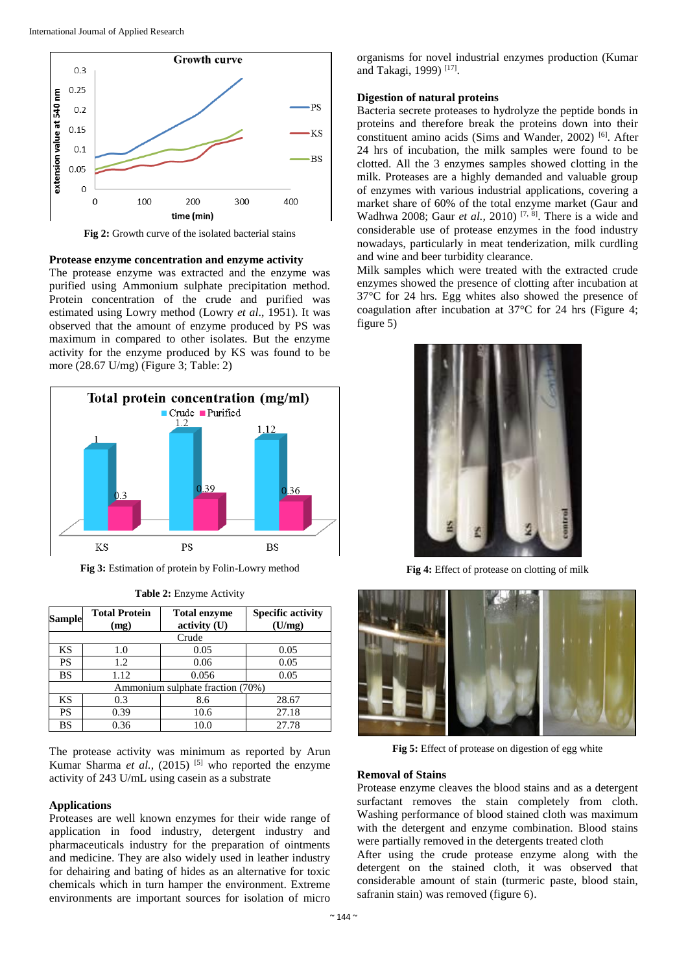

**Fig 2:** Growth curve of the isolated bacterial stains

#### **Protease enzyme concentration and enzyme activity**

The protease enzyme was extracted and the enzyme was purified using Ammonium sulphate precipitation method. Protein concentration of the crude and purified was estimated using Lowry method (Lowry *et al*., 1951). It was observed that the amount of enzyme produced by PS was maximum in compared to other isolates. But the enzyme activity for the enzyme produced by KS was found to be more (28.67 U/mg) (Figure 3; Table: 2)



**Fig 3:** Estimation of protein by Folin-Lowry method

| <b>Sample</b>                    | <b>Total Protein</b><br>(mg) | <b>Total enzyme</b><br>activity (U) | <b>Specific activity</b><br>(U/mg) |  |  |  |  |
|----------------------------------|------------------------------|-------------------------------------|------------------------------------|--|--|--|--|
| Crude                            |                              |                                     |                                    |  |  |  |  |
| ΚS                               | 1.0                          | 0.05                                | 0.05                               |  |  |  |  |
| <b>PS</b>                        | 1.2                          | 0.06                                | 0.05                               |  |  |  |  |
| BS                               | 1.12                         | 0.056                               | 0.05                               |  |  |  |  |
| Ammonium sulphate fraction (70%) |                              |                                     |                                    |  |  |  |  |
| KS                               | 0.3                          | 8.6                                 | 28.67                              |  |  |  |  |
| <b>PS</b>                        | 0.39                         | 10.6                                | 27.18                              |  |  |  |  |
| BS                               | 0.36                         | 10.0                                | 27.78                              |  |  |  |  |

**Table 2:** Enzyme Activity

The protease activity was minimum as reported by Arun Kumar Sharma *et al.*, (2015)<sup>[5]</sup> who reported the enzyme activity of 243 U/mL using casein as a substrate

#### **Applications**

Proteases are well known enzymes for their wide range of application in food industry, detergent industry and pharmaceuticals industry for the preparation of ointments and medicine. They are also widely used in leather industry for dehairing and bating of hides as an alternative for toxic chemicals which in turn hamper the environment. Extreme environments are important sources for isolation of micro organisms for novel industrial enzymes production (Kumar and Takagi, 1999)<sup>[17]</sup>.

#### **Digestion of natural proteins**

Bacteria secrete proteases to hydrolyze the peptide bonds in proteins and therefore break the proteins down into their constituent amino acids (Sims and Wander, 2002) [6]. After 24 hrs of incubation, the milk samples were found to be clotted. All the 3 enzymes samples showed clotting in the milk. Proteases are a highly demanded and valuable group of enzymes with various industrial applications, covering a market share of 60% of the total enzyme market (Gaur and Wadhwa 2008; Gaur *et al.*, 2010)<sup>[7, 8]</sup>. There is a wide and considerable use of protease enzymes in the food industry nowadays, particularly in meat tenderization, milk curdling and wine and beer turbidity clearance.

Milk samples which were treated with the extracted crude enzymes showed the presence of clotting after incubation at 37°C for 24 hrs. Egg whites also showed the presence of coagulation after incubation at 37°C for 24 hrs (Figure 4; figure 5)



**Fig 4:** Effect of protease on clotting of milk



**Fig 5:** Effect of protease on digestion of egg white

#### **Removal of Stains**

Protease enzyme cleaves the blood stains and as a detergent surfactant removes the stain completely from cloth. Washing performance of blood stained cloth was maximum with the detergent and enzyme combination. Blood stains were partially removed in the detergents treated cloth

After using the crude protease enzyme along with the detergent on the stained cloth, it was observed that considerable amount of stain (turmeric paste, blood stain, safranin stain) was removed (figure 6).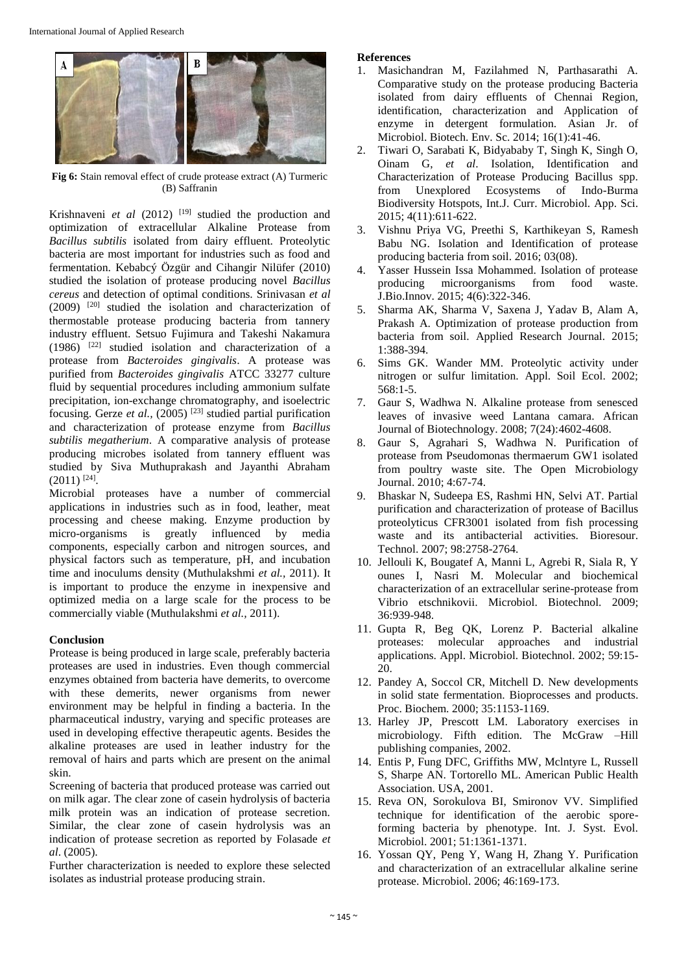

**Fig 6:** Stain removal effect of crude protease extract (A) Turmeric (B) Saffranin

Krishnaveni *et al* (2012)<sup>[19]</sup> studied the production and optimization of extracellular Alkaline Protease from *Bacillus subtilis* isolated from dairy effluent. Proteolytic bacteria are most important for industries such as food and fermentation. Kebabcý Özgür and Cihangir Nilüfer (2010) studied the isolation of protease producing novel *Bacillus cereus* and detection of optimal conditions. Srinivasan *et al* (2009) [20] studied the isolation and characterization of thermostable protease producing bacteria from tannery industry effluent. Setsuo Fujimura and Takeshi Nakamura (1986) [22] studied isolation and characterization of a protease from *Bacteroides gingivalis*. A protease was purified from *Bacteroides gingivalis* ATCC 33277 culture fluid by sequential procedures including ammonium sulfate precipitation, ion-exchange chromatography, and isoelectric focusing. Gerze *et al.*, (2005)<sup>[23]</sup> studied partial purification and characterization of protease enzyme from *Bacillus subtilis megatherium*. A comparative analysis of protease producing microbes isolated from tannery effluent was studied by Siva Muthuprakash and Jayanthi Abraham  $(2011)$ <sup>[24]</sup>.

Microbial proteases have a number of commercial applications in industries such as in food, leather, meat processing and cheese making. Enzyme production by micro-organisms is greatly influenced by media components, especially carbon and nitrogen sources, and physical factors such as temperature, pH, and incubation time and inoculums density (Muthulakshmi *et al.,* 2011). It is important to produce the enzyme in inexpensive and optimized media on a large scale for the process to be commercially viable (Muthulakshmi *et al.,* 2011).

## **Conclusion**

Protease is being produced in large scale, preferably bacteria proteases are used in industries. Even though commercial enzymes obtained from bacteria have demerits, to overcome with these demerits, newer organisms from newer environment may be helpful in finding a bacteria. In the pharmaceutical industry, varying and specific proteases are used in developing effective therapeutic agents. Besides the alkaline proteases are used in leather industry for the removal of hairs and parts which are present on the animal skin.

Screening of bacteria that produced protease was carried out on milk agar. The clear zone of casein hydrolysis of bacteria milk protein was an indication of protease secretion. Similar, the clear zone of casein hydrolysis was an indication of protease secretion as reported by Folasade *et al*. (2005).

Further characterization is needed to explore these selected isolates as industrial protease producing strain.

### **References**

- 1. Masichandran M, Fazilahmed N, Parthasarathi A. Comparative study on the protease producing Bacteria isolated from dairy effluents of Chennai Region, identification, characterization and Application of enzyme in detergent formulation. Asian Jr. of Microbiol. Biotech. Env. Sc. 2014; 16(1):41-46.
- 2. Tiwari O, Sarabati K, Bidyababy T, Singh K, Singh O, Oinam G, *et al*. Isolation, Identification and Characterization of Protease Producing Bacillus spp. from Unexplored Ecosystems of Indo-Burma Biodiversity Hotspots, Int.J. Curr. Microbiol. App. Sci. 2015; 4(11):611-622.
- 3. Vishnu Priya VG, Preethi S, Karthikeyan S, Ramesh Babu NG. Isolation and Identification of protease producing bacteria from soil. 2016; 03(08).
- 4. Yasser Hussein Issa Mohammed. Isolation of protease producing microorganisms from food waste. J.Bio.Innov. 2015; 4(6):322-346.
- 5. Sharma AK, Sharma V, Saxena J, Yadav B, Alam A, Prakash A. Optimization of protease production from bacteria from soil. Applied Research Journal. 2015; 1:388-394.
- 6. Sims GK. Wander MM. Proteolytic activity under nitrogen or sulfur limitation. Appl. Soil Ecol. 2002; 568:1-5.
- 7. Gaur S, Wadhwa N. Alkaline protease from senesced leaves of invasive weed Lantana camara. African Journal of Biotechnology. 2008; 7(24):4602-4608.
- 8. Gaur S, Agrahari S, Wadhwa N. Purification of protease from Pseudomonas thermaerum GW1 isolated from poultry waste site. The Open Microbiology Journal. 2010; 4:67-74.
- 9. Bhaskar N, Sudeepa ES, Rashmi HN, Selvi AT. Partial purification and characterization of protease of Bacillus proteolyticus CFR3001 isolated from fish processing waste and its antibacterial activities. Bioresour. Technol. 2007; 98:2758-2764.
- 10. Jellouli K, Bougatef A, Manni L, Agrebi R, Siala R, Y ounes I, Nasri M. Molecular and biochemical characterization of an extracellular serine-protease from Vibrio etschnikovii. Microbiol. Biotechnol. 2009; 36:939-948.
- 11. Gupta R, Beg QK, Lorenz P. Bacterial alkaline proteases: molecular approaches and industrial applications. Appl. Microbiol. Biotechnol. 2002; 59:15- 20.
- 12. Pandey A, Soccol CR, Mitchell D. New developments in solid state fermentation. Bioprocesses and products. Proc. Biochem. 2000; 35:1153-1169.
- 13. Harley JP, Prescott LM. Laboratory exercises in microbiology. Fifth edition. The McGraw –Hill publishing companies, 2002.
- 14. Entis P, Fung DFC, Griffiths MW, Mclntyre L, Russell S, Sharpe AN. Tortorello ML. American Public Health Association. USA, 2001.
- 15. Reva ON, Sorokulova BI, Smironov VV. Simplified technique for identification of the aerobic sporeforming bacteria by phenotype. Int. J. Syst. Evol. Microbiol. 2001; 51:1361-1371.
- 16. Yossan QY, Peng Y, Wang H, Zhang Y. Purification and characterization of an extracellular alkaline serine protease. Microbiol. 2006; 46:169-173.